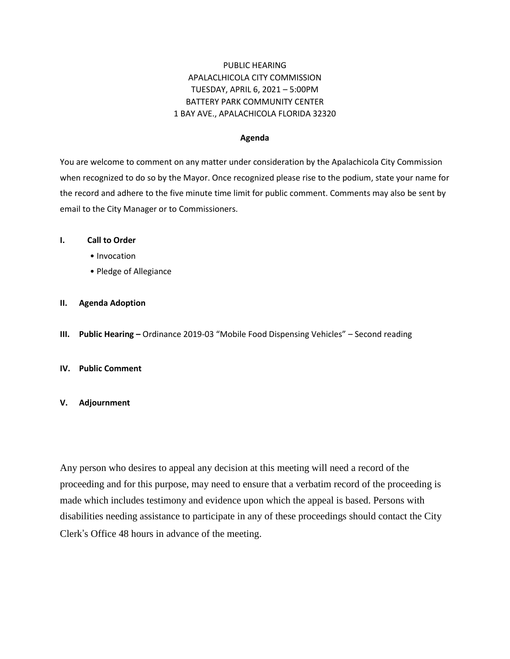## PUBLIC HEARING APALACLHICOLA CITY COMMISSION TUESDAY, APRIL 6, 2021 – 5:00PM BATTERY PARK COMMUNITY CENTER 1 BAY AVE., APALACHICOLA FLORIDA 32320

#### **Agenda**

You are welcome to comment on any matter under consideration by the Apalachicola City Commission when recognized to do so by the Mayor. Once recognized please rise to the podium, state your name for the record and adhere to the five minute time limit for public comment. Comments may also be sent by email to the City Manager or to Commissioners.

#### **I. Call to Order**

- Invocation
- Pledge of Allegiance

### **II. Agenda Adoption**

**III. Public Hearing –** Ordinance 2019-03 "Mobile Food Dispensing Vehicles" – Second reading

### **IV. Public Comment**

### **V. Adjournment**

Any person who desires to appeal any decision at this meeting will need a record of the proceeding and for this purpose, may need to ensure that a verbatim record of the proceeding is made which includes testimony and evidence upon which the appeal is based. Persons with disabilities needing assistance to participate in any of these proceedings should contact the City Clerk's Office 48 hours in advance of the meeting.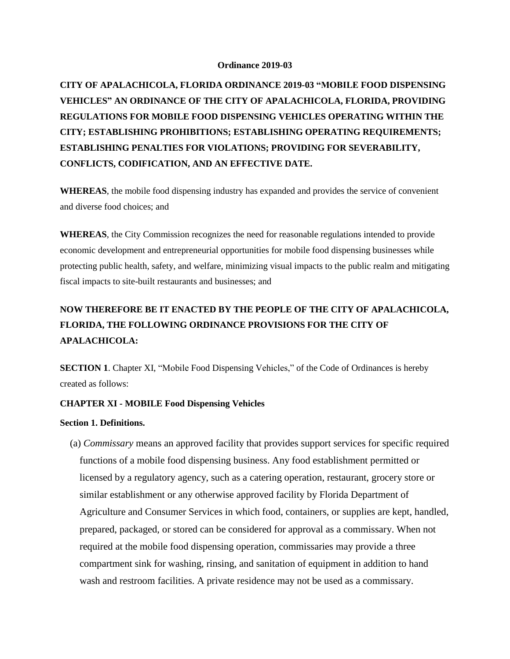#### **Ordinance 2019-03**

**CITY OF APALACHICOLA, FLORIDA ORDINANCE 2019-03 "MOBILE FOOD DISPENSING VEHICLES" AN ORDINANCE OF THE CITY OF APALACHICOLA, FLORIDA, PROVIDING REGULATIONS FOR MOBILE FOOD DISPENSING VEHICLES OPERATING WITHIN THE CITY; ESTABLISHING PROHIBITIONS; ESTABLISHING OPERATING REQUIREMENTS; ESTABLISHING PENALTIES FOR VIOLATIONS; PROVIDING FOR SEVERABILITY, CONFLICTS, CODIFICATION, AND AN EFFECTIVE DATE.**

**WHEREAS**, the mobile food dispensing industry has expanded and provides the service of convenient and diverse food choices; and

**WHEREAS**, the City Commission recognizes the need for reasonable regulations intended to provide economic development and entrepreneurial opportunities for mobile food dispensing businesses while protecting public health, safety, and welfare, minimizing visual impacts to the public realm and mitigating fiscal impacts to site-built restaurants and businesses; and

# **NOW THEREFORE BE IT ENACTED BY THE PEOPLE OF THE CITY OF APALACHICOLA, FLORIDA, THE FOLLOWING ORDINANCE PROVISIONS FOR THE CITY OF APALACHICOLA:**

**SECTION 1**. Chapter XI, "Mobile Food Dispensing Vehicles," of the Code of Ordinances is hereby created as follows:

### **CHAPTER XI - MOBILE Food Dispensing Vehicles**

### **Section 1. Definitions.**

 (a) *Commissary* means an approved facility that provides support services for specific required functions of a mobile food dispensing business. Any food establishment permitted or licensed by a regulatory agency, such as a catering operation, restaurant, grocery store or similar establishment or any otherwise approved facility by Florida Department of Agriculture and Consumer Services in which food, containers, or supplies are kept, handled, prepared, packaged, or stored can be considered for approval as a commissary. When not required at the mobile food dispensing operation, commissaries may provide a three compartment sink for washing, rinsing, and sanitation of equipment in addition to hand wash and restroom facilities. A private residence may not be used as a commissary.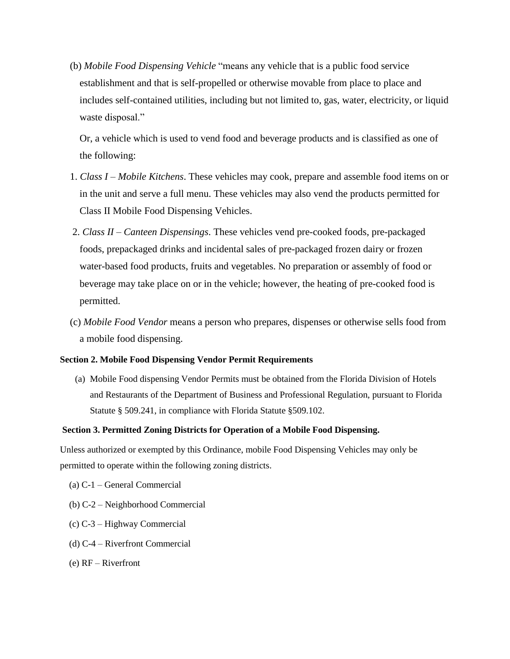(b) *Mobile Food Dispensing Vehicle* "means any vehicle that is a public food service establishment and that is self-propelled or otherwise movable from place to place and includes self-contained utilities, including but not limited to, gas, water, electricity, or liquid waste disposal."

Or, a vehicle which is used to vend food and beverage products and is classified as one of the following:

- 1. *Class I – Mobile Kitchens*. These vehicles may cook, prepare and assemble food items on or in the unit and serve a full menu. These vehicles may also vend the products permitted for Class II Mobile Food Dispensing Vehicles.
- 2. *Class II – Canteen Dispensings*. These vehicles vend pre-cooked foods, pre-packaged foods, prepackaged drinks and incidental sales of pre-packaged frozen dairy or frozen water-based food products, fruits and vegetables. No preparation or assembly of food or beverage may take place on or in the vehicle; however, the heating of pre-cooked food is permitted.
- (c) *Mobile Food Vendor* means a person who prepares, dispenses or otherwise sells food from a mobile food dispensing.

### **Section 2. Mobile Food Dispensing Vendor Permit Requirements**

(a) Mobile Food dispensing Vendor Permits must be obtained from the Florida Division of Hotels and Restaurants of the Department of Business and Professional Regulation, pursuant to Florida Statute § 509.241, in compliance with Florida Statute §509.102.

### **Section 3. Permitted Zoning Districts for Operation of a Mobile Food Dispensing.**

Unless authorized or exempted by this Ordinance, mobile Food Dispensing Vehicles may only be permitted to operate within the following zoning districts.

- (a) C-1 General Commercial
- (b) C-2 Neighborhood Commercial
- (c) C-3 Highway Commercial
- (d) C-4 Riverfront Commercial
- (e) RF Riverfront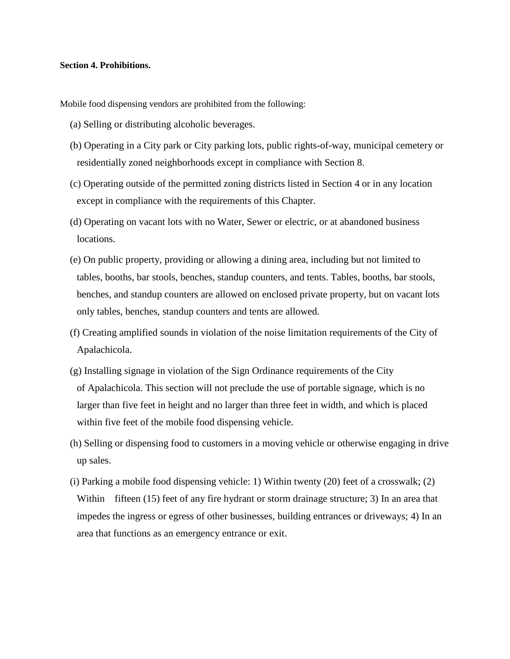### **Section 4. Prohibitions.**

Mobile food dispensing vendors are prohibited from the following:

- (a) Selling or distributing alcoholic beverages.
- (b) Operating in a City park or City parking lots, public rights-of-way, municipal cemetery or residentially zoned neighborhoods except in compliance with Section 8.
- (c) Operating outside of the permitted zoning districts listed in Section 4 or in any location except in compliance with the requirements of this Chapter.
- (d) Operating on vacant lots with no Water, Sewer or electric, or at abandoned business locations.
- (e) On public property, providing or allowing a dining area, including but not limited to tables, booths, bar stools, benches, standup counters, and tents. Tables, booths, bar stools, benches, and standup counters are allowed on enclosed private property, but on vacant lots only tables, benches, standup counters and tents are allowed.
- (f) Creating amplified sounds in violation of the noise limitation requirements of the City of Apalachicola.
- (g) Installing signage in violation of the Sign Ordinance requirements of the City of Apalachicola. This section will not preclude the use of portable signage, which is no larger than five feet in height and no larger than three feet in width, and which is placed within five feet of the mobile food dispensing vehicle.
- (h) Selling or dispensing food to customers in a moving vehicle or otherwise engaging in drive up sales.
- (i) Parking a mobile food dispensing vehicle: 1) Within twenty (20) feet of a crosswalk; (2) Within fifteen (15) feet of any fire hydrant or storm drainage structure; 3) In an area that impedes the ingress or egress of other businesses, building entrances or driveways; 4) In an area that functions as an emergency entrance or exit.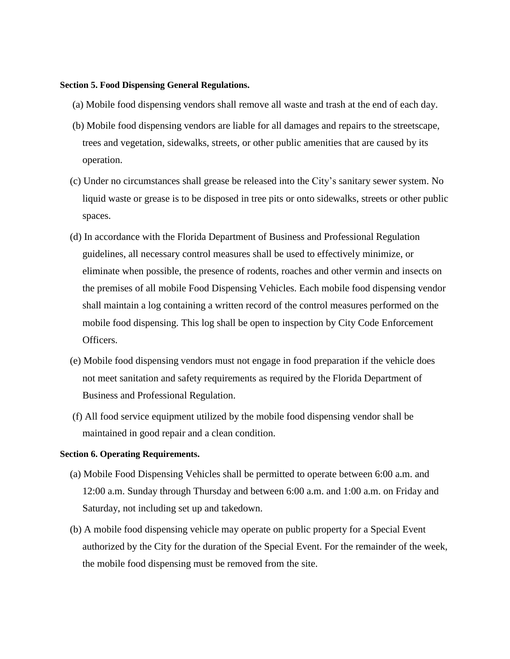### **Section 5. Food Dispensing General Regulations.**

- (a) Mobile food dispensing vendors shall remove all waste and trash at the end of each day.
- (b) Mobile food dispensing vendors are liable for all damages and repairs to the streetscape, trees and vegetation, sidewalks, streets, or other public amenities that are caused by its operation.
- (c) Under no circumstances shall grease be released into the City's sanitary sewer system. No liquid waste or grease is to be disposed in tree pits or onto sidewalks, streets or other public spaces.
- (d) In accordance with the Florida Department of Business and Professional Regulation guidelines, all necessary control measures shall be used to effectively minimize, or eliminate when possible, the presence of rodents, roaches and other vermin and insects on the premises of all mobile Food Dispensing Vehicles. Each mobile food dispensing vendor shall maintain a log containing a written record of the control measures performed on the mobile food dispensing. This log shall be open to inspection by City Code Enforcement Officers.
- (e) Mobile food dispensing vendors must not engage in food preparation if the vehicle does not meet sanitation and safety requirements as required by the Florida Department of Business and Professional Regulation.
- (f) All food service equipment utilized by the mobile food dispensing vendor shall be maintained in good repair and a clean condition.

### **Section 6. Operating Requirements.**

- (a) Mobile Food Dispensing Vehicles shall be permitted to operate between 6:00 a.m. and 12:00 a.m. Sunday through Thursday and between 6:00 a.m. and 1:00 a.m. on Friday and Saturday, not including set up and takedown.
- (b) A mobile food dispensing vehicle may operate on public property for a Special Event authorized by the City for the duration of the Special Event. For the remainder of the week, the mobile food dispensing must be removed from the site.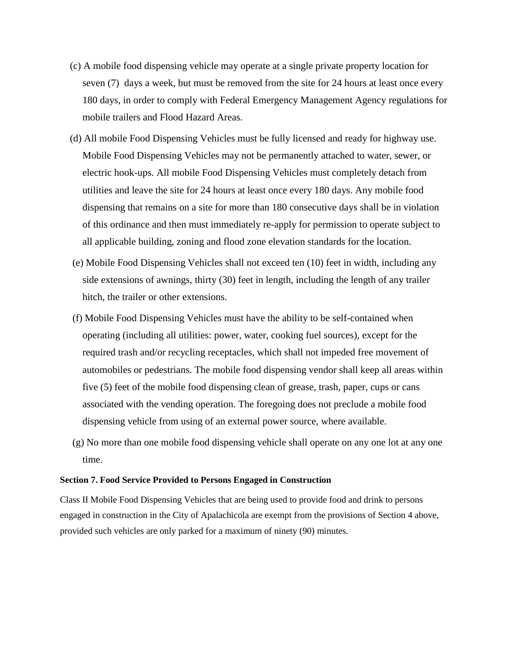- (c) A mobile food dispensing vehicle may operate at a single private property location for seven (7) days a week, but must be removed from the site for 24 hours at least once every 180 days, in order to comply with Federal Emergency Management Agency regulations for mobile trailers and Flood Hazard Areas.
- (d) All mobile Food Dispensing Vehicles must be fully licensed and ready for highway use. Mobile Food Dispensing Vehicles may not be permanently attached to water, sewer, or electric hook-ups. All mobile Food Dispensing Vehicles must completely detach from utilities and leave the site for 24 hours at least once every 180 days. Any mobile food dispensing that remains on a site for more than 180 consecutive days shall be in violation of this ordinance and then must immediately re-apply for permission to operate subject to all applicable building, zoning and flood zone elevation standards for the location.
- (e) Mobile Food Dispensing Vehicles shall not exceed ten (10) feet in width, including any side extensions of awnings, thirty (30) feet in length, including the length of any trailer hitch, the trailer or other extensions.
- (f) Mobile Food Dispensing Vehicles must have the ability to be self-contained when operating (including all utilities: power, water, cooking fuel sources), except for the required trash and/or recycling receptacles, which shall not impeded free movement of automobiles or pedestrians. The mobile food dispensing vendor shall keep all areas within five (5) feet of the mobile food dispensing clean of grease, trash, paper, cups or cans associated with the vending operation. The foregoing does not preclude a mobile food dispensing vehicle from using of an external power source, where available.
- (g) No more than one mobile food dispensing vehicle shall operate on any one lot at any one time.

### **Section 7. Food Service Provided to Persons Engaged in Construction**

Class II Mobile Food Dispensing Vehicles that are being used to provide food and drink to persons engaged in construction in the City of Apalachicola are exempt from the provisions of Section 4 above, provided such vehicles are only parked for a maximum of ninety (90) minutes.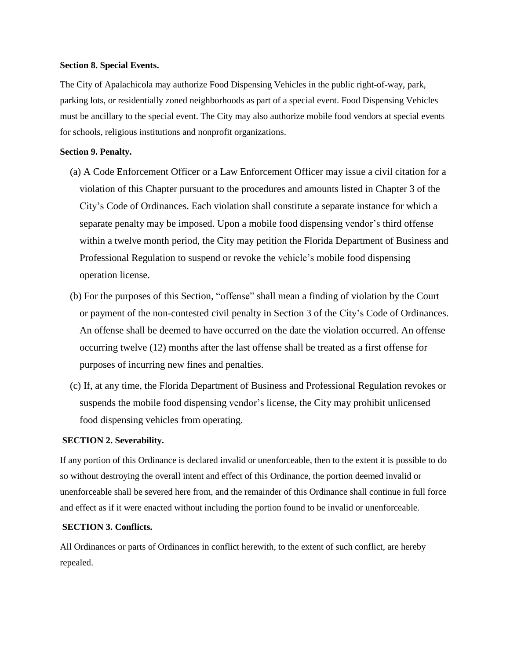#### **Section 8. Special Events.**

The City of Apalachicola may authorize Food Dispensing Vehicles in the public right-of-way, park, parking lots, or residentially zoned neighborhoods as part of a special event. Food Dispensing Vehicles must be ancillary to the special event. The City may also authorize mobile food vendors at special events for schools, religious institutions and nonprofit organizations.

### **Section 9. Penalty.**

- (a) A Code Enforcement Officer or a Law Enforcement Officer may issue a civil citation for a violation of this Chapter pursuant to the procedures and amounts listed in Chapter 3 of the City's Code of Ordinances. Each violation shall constitute a separate instance for which a separate penalty may be imposed. Upon a mobile food dispensing vendor's third offense within a twelve month period, the City may petition the Florida Department of Business and Professional Regulation to suspend or revoke the vehicle's mobile food dispensing operation license.
- (b) For the purposes of this Section, "offense" shall mean a finding of violation by the Court or payment of the non-contested civil penalty in Section 3 of the City's Code of Ordinances. An offense shall be deemed to have occurred on the date the violation occurred. An offense occurring twelve (12) months after the last offense shall be treated as a first offense for purposes of incurring new fines and penalties.
- (c) If, at any time, the Florida Department of Business and Professional Regulation revokes or suspends the mobile food dispensing vendor's license, the City may prohibit unlicensed food dispensing vehicles from operating.

### **SECTION 2. Severability.**

If any portion of this Ordinance is declared invalid or unenforceable, then to the extent it is possible to do so without destroying the overall intent and effect of this Ordinance, the portion deemed invalid or unenforceable shall be severed here from, and the remainder of this Ordinance shall continue in full force and effect as if it were enacted without including the portion found to be invalid or unenforceable.

### **SECTION 3. Conflicts.**

All Ordinances or parts of Ordinances in conflict herewith, to the extent of such conflict, are hereby repealed.